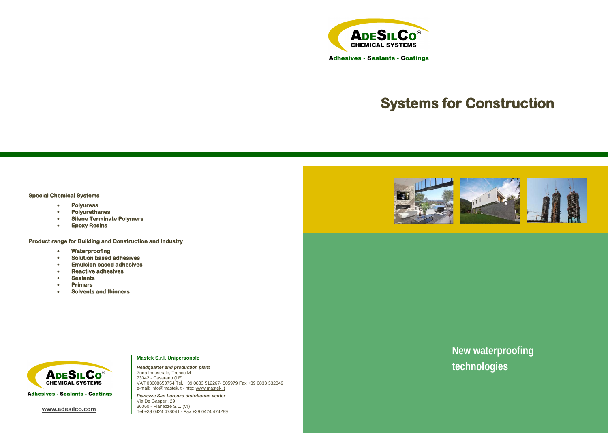#### **Special Chemical Systems**

- **Polyureas**
- **Polyurethanes**
- **Silane Terminate Polymers**
- **Epoxy Resins**

**Product range for Building and Construction and Industry** 

- **Waterproofing**
- **Solution based adhesives**
- **Emulsion based adhesives**
- **Reactive adhesives**
- **Sealants**
- **Primers**
- **Solvents and thinners**



**Adhesives - Sealants - Coatings** 

*Pianezze San Lorenzo distribution center* Via De Gasperi, 29<br>36060 - Pianezze S.L. (VI) **WWW.adesilco.com**<br>Tel +39 0424 478041 - Fax +39 0424 474289











# **Systems for Construction**

**New waterproofing technologies**

#### **Mastek S.r.l. Unipersonale**

*Headquarter and production plant* Zona Industriale, Tronco M 73042 - Casarano (LE) VAT 03608650754 Tel. +39 0833 512267- 505979 Fax +39 0833 332849 e-mail: info@mastek.it - http: [www.mastek.it](http://www.mastek.it/)